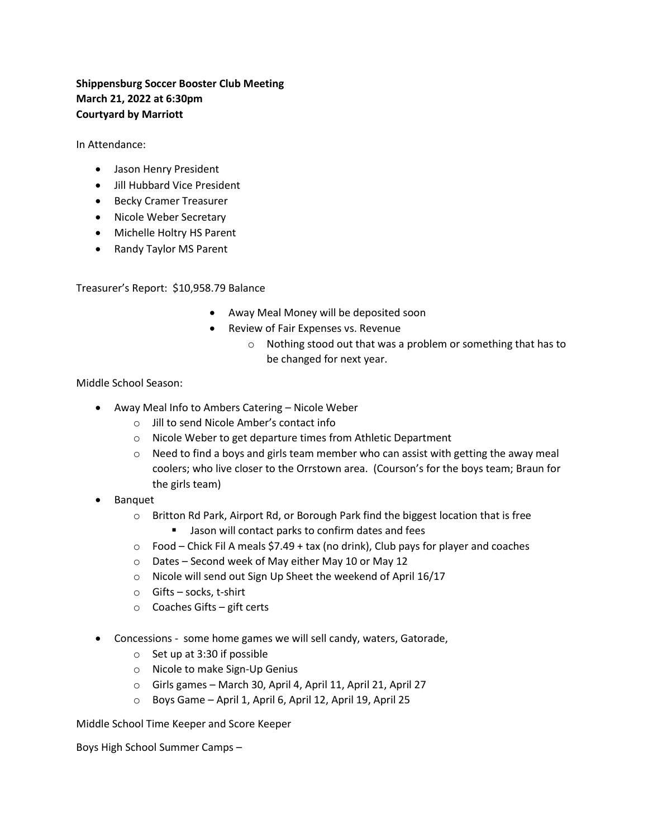## **Shippensburg Soccer Booster Club Meeting March 21, 2022 at 6:30pm Courtyard by Marriott**

In Attendance:

- Jason Henry President
- Jill Hubbard Vice President
- Becky Cramer Treasurer
- Nicole Weber Secretary
- Michelle Holtry HS Parent
- Randy Taylor MS Parent

Treasurer's Report: \$10,958.79 Balance

- Away Meal Money will be deposited soon
- Review of Fair Expenses vs. Revenue
	- o Nothing stood out that was a problem or something that has to be changed for next year.

Middle School Season:

- Away Meal Info to Ambers Catering Nicole Weber
	- o Jill to send Nicole Amber's contact info
	- o Nicole Weber to get departure times from Athletic Department
	- o Need to find a boys and girls team member who can assist with getting the away meal coolers; who live closer to the Orrstown area. (Courson's for the boys team; Braun for the girls team)
- Banquet
	- o Britton Rd Park, Airport Rd, or Borough Park find the biggest location that is free
		- Jason will contact parks to confirm dates and fees
	- $\circ$  Food Chick Fil A meals \$7.49 + tax (no drink), Club pays for player and coaches
	- o Dates Second week of May either May 10 or May 12
	- o Nicole will send out Sign Up Sheet the weekend of April 16/17
	- o Gifts socks, t-shirt
	- o Coaches Gifts gift certs
- Concessions some home games we will sell candy, waters, Gatorade,
	- o Set up at 3:30 if possible
	- o Nicole to make Sign-Up Genius
	- o Girls games March 30, April 4, April 11, April 21, April 27
	- o Boys Game April 1, April 6, April 12, April 19, April 25

Middle School Time Keeper and Score Keeper

Boys High School Summer Camps –